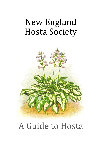# New England Hosta Society



# A Guide to Hosta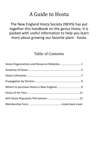# A Guide to Hosta

The New England Hosta Society (NEHS) has put together this handbook on the genus Hosta. It is packed with useful information to help you learn more about growing our favorite plant - hosta.

# Table of Contents

| Hosta Organizations and Resource Websites1 |  |
|--------------------------------------------|--|
|                                            |  |
|                                            |  |
|                                            |  |
|                                            |  |
|                                            |  |
|                                            |  |
|                                            |  |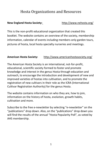## Hosta Organizations and Resources

#### **New England Hosta Society:** <http://www.nehosta.org/>

This is the non-profit educational organization that created this booklet. The website contains an overview of the society, membership information, calendar of events including members-only garden tours, pictures of hosta, local hosta specialty nurseries and meetings.

#### **American Hosta Society:** <http://www.americanhostasociety.org/>

The American Hosta Society is an international, not-for-profit, educational, scientific society formed to foster and promote knowledge and interest in the genus Hosta through education and outreach, to encourage the introduction and development of new and improved varieties of hostas into cultivation, and to promote the registration of new cultivars in their role as the ICRA (International Cultivar Registration Authority) for the genus Hosta.

The website contains information on who they are, how to join, information on the history of hosta, evolution, growth habits, cultivation and more.

Subscribe to the free e-newsletter by selecting "e-newsletter" on the "publications" drop down. Also, on the "publications" drop down you will find the results of the annual "Hosta Popularity Poll", as voted by AHS membership.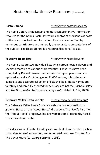## Hosta Organizations & Resources (Continued)

**Hosta Library:** <http://www.hostalibrary.org/>

The Hosta Library is the largest and most comprehensive information resource for the Genus Hosta. It features photos of thousands of hosta cultivars and much other information. Photos are submitted by numerous contributors and generally are accurate representations of the cultivar. The Hosta Library is a resource free for all to use.

#### **Rawson's Hosta Lists:** <http://www.hostalists.org/>

The Hosta Lists are 100 individual lists which group hosta cultivars and species according to various characteristics. These lists have been compiled by Donald Rawson over a seventeen-year period and are updated annually. Containing over 21,000 entries, this is the most complete and accurate collection of lists available. Hosta names are faithfully and carefully checked for accuracy against the *Hosta Registry*  and *The Hostapedia: An Encyclopedia of Hostas* (Mark R. Zilis, 2009)*.* 

#### **Delaware Valley Hosta Society** <https://www.delvalhosta.org/>

The Delaware Valley Hosta Society's web site has information on growing Hosta on the "About Hosta" dropdown. The "FAQ's Part I" on the "About Hosta" dropdown has answers to some Frequently Asked Questions about Hosta.

For a discussion of hosta, listed by various plant characteristics such as color, size, type of variegation, and other attributes, see Chapter 6 in *The Genus Hosta* (W. George Schmid, 1991).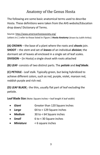# Anatomy of the Genus Hosta

The following are some basic anatomical terms used to describe Hosta. These definitions were taken from the AHS website/Education drop down/ Dictionary of Terms.

Source[: http://www.americanhostasociety.org/](http://www.americanhostasociety.org/) Letters in ( ) refer to those listed in *Figure 1 Hosta Anatomy* (drawn by Judith Artley).

**(A) CROWN** – the base of a plant where the roots and *shoots* join. **SHOOT** – the *stem* and set of *leaves* of an individual *division*; the dormant set of leaves all enclosed in a single set of leaf scales. **DIVISION** – (in Hosta) a single shoot with roots attached

**(B) LEAF**- consists of two distinct parts. The *petiole* and *leaf blade*.

**(C) PETIOLE** - Leaf stalk. Typically green, but being hybridized to achieve different colors, such as red, purple, violet, maroon red, reddish purple and rich red.

**(D) LEAF BLADE** - the thin, usually flat part of leaf excluding the petiole.

**Leaf Blade Size** (Note: Square inches = leaf length X leaf width)

|  | • Giant | Greater than 120 Square inches |
|--|---------|--------------------------------|
|--|---------|--------------------------------|

- *Large* 64 to < 129 Square inches
- *Medium* 30 to < 64 Square inches
- *Small* 6 to < 30 Square inches
- *Miniature* < 6 square inches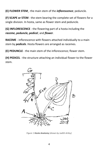**(E) FLOWER STEM** - the main stem of the *inflorescence*; peduncle.

**(F) SCAPE or STEM** - the stem bearing the complete set of flowers for a single division. In hosta, same as flower stem and peduncle.

**(G) INFLORESCENCE** - the flowering part of a hosta including the *raceme***,** *peduncle, pedicel*, and *flower*.

**RACEME** - inflorescence with flowers attached individually to a main stem by *pedicels*. Hosta flowers are arranged as racemes.

**(E) PEDUNCLE** - the main stem of the inflorescence; flower stem.

**(H) PEDICEL** - the structure attaching an individual flower to the flower stem.



*Figure 1 Hosta Anatomy (drawn by Judith Artley)*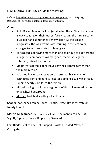#### **LEAF CHARACTERISTICS** include the following:

Refer to [http://hostaregistrar.org/hosta\\_terminology.html,](http://hostaregistrar.org/hosta_terminology.html) Hosta Registry, Definition of Terms, for a detailed description of terms.

#### **Color:**

- Solid Green, Blue or Yellow. (All shades) **Note**: Blue Hosta have a waxy coating on their leaf surface, creating the intense early blue color and sometimes a misty color. As the season progresses, the wax washes off resulting in the leaf color changes to become muted or blue-green.
- Variegated leaf having more than one color due to a difference in pigment components as margined, medio-variegated, splashed, misted, or mottled
- Medio-Variegated leaf or leaves having a lighter center than the margin color
- Splashed having a variegation pattern that has many nonconnected light and dark variegated sections usually in streaks running nearly parallel to the midrib
- Misted having small short segments of dark pigmented tissue on a lighter background
- Mottled blotched spotting of leaf blade

**Shape:** Leaf shapes can be Lance, Elliptic, Ovate, Broadly Ovate or Nearly Round.

**Margin Appearance** (the edge of leaf blade)**:** The margin can be Flat, Slightly Rippled, Heavily Rippled, or Serrated.

**Leaf Blade:** Leaf can be Flat, Cupped, Twisted, Folded, Wavy or Corrugated.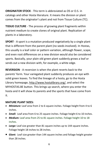**ORIGINATOR STOCK** - This term is abbreviated as OS or O.S. in catalogs and other Hosta literature. It means the division or plant comes from the originator's plant and not from Tissue Culture (TC).

**TISSUE CULTURE** - The process of growing plant fragments within nutrient medium to create clones of original plant. Replication of plants in a laboratory.

**SPORT** - A sport is a mutation produced vegetatively by a single plant that is different from the parent plant (no seeds involved). In Hostas, this usually is a leaf color or pattern variation, although flower, scape, and even root differences on a new division would also be considered sports. Basically, your plain old green plant suddenly grows a leaf or sends out a new division with, for example, a white edge.

**REVERSION** - A reversion is when the plant reverts back to the parents' form. Your variegated plant suddenly produces an eye with solid green leaves. To find the lineage of a hosta, go to the Hosta Library homepage, [http://www.hostalibrary.org/,](http://www.hostalibrary.org/) and select the MYHOSTAS.BE button. This brings up search, where you enter the hosta and it will show its parents and the sports that have come from it.

#### **MATURE PLANT SIZES:**

- *Miniature:* Leaf area from 2 to 6 square inches. Foliage height from 4 to 6 inches.
- *Small:* Leaf area from 6 to 25 square inches. Foliage height 6 to 10 inches.
- *Medium:* Leaf area from 25 to 81 square inches. Foliage height 10 to 18 inches.
- *Large:* Leaf size greater than 81 square inches up to 144 square inches. Foliage height 18 inches to 28 inches.
- *Giant:* Leaf size greater than 144 square inches and foliage height greater than 28 inches.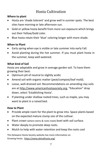# Hosta Cultivation

#### **Where to plant**

- Hosta are 'shade tolerant' and grow well in sunnier spots. The best sites have morning or late afternoon sun.
- Gold or yellow hosta benefit from more sun exposure which brings out their Yellow/Gold color.
- Blue hosta retain their 'blue' coloring longer with more shade.

#### **When to Plant**

- Early spring when eye is visible or late summer into early Fall.
- Avoid planting during the hot summer. If you must plant hosta in the summer, keep well-watered.

#### **What kind of Soil**

Hosta are adaptable and grow in average garden soil. To have them growing their best:

- Optimum pH of neutral to slightly acidic
- Amend soil with organic matter (peat/compost/leaf mold).
- Loose, well-drained soil. Recommendations on amending clay soils are at [http://www.americanhostasociety.org,](http://www.americanhostasociety.org/) "Education" drop down, select 'Establishing Hosta'.
- If planting under shallow rooted trees, such as maple, you may want to plant in a raised bed.

#### **How to Plant**

- Provide ample room for the plant to grow into. Space plants based on the expected mature clump size of the cultivar.
- Plant crown (where stems & roots meet) level with soil surface.
- Water deeply to promote deep roots.
- Mulch to help with water retention and keep the roots cool

The Delaware Hosta Society website has more information on Growing Hosta. <https://www.delvalhosta.org/>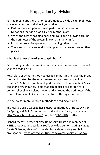# Propagation by Division

For the most part, there is no requirement to divide a clump of hosta. However, you should divide if you notice:

- Parts of the clump have developed 'sports' or reversion. Mutations that don't look like the mother plant.
- When the center has died back and live plant is growing around the perimeter of the crown, known as a 'fairy ring'.
- It has outgrown its space and is crowding other plants
- You want to make several smaller plants to share or use in other places.

#### **What is the best time of year to split hosta?**

Early spring or late summer into early fall are the preferred times of year to divide hosta.

Regardless of what method you use it is important to have the proper tools and to sterilize them before use. A quick way to sterilize is to create a 10% bleach solution (1-part bleach to 10 parts water). Soak tools for a few minutes. Tools that can be used are garden fork, pointed shovel, transplant shovel, to dig around the perimeter of the clump. A serrated knife can be used to cut through the clump.

See below for more detailed methods of dividing a clump.

The Hosta Library website has illustrated methods of Hosta Division for Spring and Fall. To access, go to the Hosta Library homepage, <http://www.hostalibrary.org/> and click "DIVIDING" button.

Richard Merritt, owner of New Hampshire Hosta and member of NEHS, produced an excellent YouTube video demonstrating *How to Divide & Propagate Hosta*. He also talks about spring and fall propagation. <https://www.youtube.com/watch?v=cifp6pNaeWo>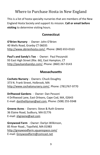# Where to Purchase Hosta in New England

This is a list of hosta specialty nurseries that are members of the New England Hosta Society and support its mission. **Call or email before visiting** to determine visiting hours.

#### **Connecticut**

**O'Brien Nursery** - Owner: John O'Brien 40 Wells Road, Granby CT 06035 [http://www.obrienhosta.com/,](http://www.obrienhosta.com/) Phone: (860) 653-0163

**Paul's and Sandy's Too** - Owner: Paul Peszynski 93 East High Street (Rte. 66), East Hampton, CT [http://paulsandsandys.com/,](http://paulsandsandys.com/) Phone: (860) 267-0143

#### **Massachusetts**

**Cochato Nursery** - Owners: Chuck Doughty 373 N. Frank Street, Holbrook, MA [http://www.cochatonursery.com/,](http://www.cochatonursery.com/) Phone: (781)767-9770

**Driftwood Gardens** - Owner: Dan Pessoni 4 Driftwood Lane, East Orleans, Cape Cod, MA, 02643 E-mail: [danthelilyman@aol.com,](mailto:danthelilyman@aol.com) Phone: (508) 255-9348

**Greene Acres** - Owners: Steve & Ruth Greene 36 Elaine Road, Sudbury, MA 01776 E-mail: [shgreene@aol.com](mailto:shgreene@aol.com)

**Greywood Farm** - Owner: Darlyn Wilkinson, 85 River Road., Topsfield, MA 01983 <http://greywoodfarm.squarespace.com/> E-mail: [Greywoodfarm@comcast.net](mailto:Greywoodfarm@comcast.net)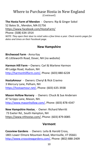#### Where to Purchase Hosta in New England (Continued)

**The Hosta Farm of Mendon** - Owners: Rip & Ginger Sokol

52 Bates St., Mendon, MA 01756

<https://www.facebook.com/HostaFarm/>

Phone: (508) 634-1914

*NOTE: They open their door to retail sales a few times a year. Check events pages for dates and times on their Facebook page.*

#### **New Hampshire**

**Birchwood Farm** - Anna Kay 45 Littleworth Road, Dover, NH (no website)

**Harmon Hill Farm** – Owners: Carl & Marlene Harmon 49 Ledge Road, Hudson, NH [http://harmonhillfarm.com/,](http://harmonhillfarm.com/) Phone: (603) 880-6228

**HostaAmour** - Owners: Cheryl & Rick Cravino 3 Mercury Lane, Pelham, NH [https://hostaamour.net/,](https://hostaamour.net/) Phone: (603) 635-3938

**Mason Hollow Nursery** - Owners: Chuck & Sue Andersen 47 Scripps Lane, Mason, NH. [http://www.masonhollow.com/,](http://www.masonhollow.com/) Phone: (603) 878-4347

**New Hampshire Hostas** - Owner: Richard Merritt 73 Exeter Rd., South Hampton, NH [https://www.nhhostas.com/,](https://www.nhhostas.com/) Phone: (603) 879-0085

#### **Vermont**

**Cossview Gardens** - Owners: Leila & Harold Cross, 1801 Lower Elmore Mountain Road, Morrisville, VT 05661 [http://www.crossviewgardens.com/,](http://www.crossviewgardens.com/) Phone: (802) 888-2409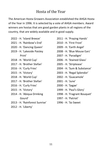# Hosta of the Year

The American Hosta Growers Association established the AHGA Hosta of the Year in 1996. It is selected by a vote of AHGA members. Award winners are hostas that are good garden plants in all regions of the country, that are widely available and in good supply.

- 2022 H. 'Island Breeze' 2021 - H. 'Rainbow's End' 2020 - H. 'Dancing Queen' 2019 - H. 'Lakeside Paisley Print' 2018 - H. 'World Cup' 2017 - H. 'Brother Stefan' 2016 - H. 'Curly Fries' 2015 - H. 'Victory' 2018 - H. 'World Cup' 2017 - H. 'Brother Stefan' 2016 - H. 'Curly Fries' 2015 - H. 'Victory' 2014 - H. 'Abiqua Drinking Gourd' 2013 - H. 'Rainforest Sunrise'
- 2012 H. 'Liberty'
- 2011 H. 'Praying Hands'
- 2010 H. 'First Frost'
- 2009 H. 'Earth Angel'
- 2008 H. 'Blue Mouse Ears'
- 2007 H. 'Paradigm'
- 2006 H. 'Stained Glass'
- 2005 H. 'Striptease'
- 2004 H. 'Sum & Substance'
- 2003 H. 'Regal Splendor'
- 2002 H. 'Guacamole'
- 2001 H. 'June'
- 2000 H. 'Sagae'
- 1999 H. 'Paul's Glory'
- 1998 H. 'Fragrant Bouquet'
- 1997 H. 'Patriot'
- 1996 H. 'So Sweet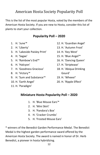# American Hosta Society Popularity Poll

This is the list of the most popular Hosta, voted by the members of the American Hosta Society. If you are new to Hosta, consider this list of plants to start your collection.

#### **Popularity Poll – 2020**

- 1. H. 'June'\*
- 2. H. 'Liberty'
- 3. H. 'Lakeside Paisley Print'
- 4. H. 'Sagae'
- 5. H. 'Rainbow's End'\*
- 6. H. 'Halcyon'
- 7. H. 'Goodness Gracious'
- 8. H. 'Victory'\*
- 9. H. 'Sum and Substance'\*
- 10. H. 'Earth Angel'
- 11. H. 'Paradigm'
- 12. H. 'Guardian Angel'
- 13. H. 'Autumn Frost'
- 14. H. 'Key West'
- 15. H. 'Blue Angel'\*
- 16. H. 'Dancing Queen'
- 17. H. 'Striptease'
- 18. H. 'Abiqua Drinking Gourd'
- 19. H. 'Wheee!'
- 20. H. 'Ripple Effect'

### **Miniature Hosta Popularity Poll – 2020**

- 1. H. 'Blue Mouse Ears'\*
- 2. H. 'Mini Skirt'
- 3. H. 'Pandora's Box'
- 4. H. 'Cracker Crumbs'
- 5. H. 'Frosted Mouse Ears'

\* winners of the Benedict Garden Performance Medal. The Benedict Medal is the highest garden performance sward offered by the American Hosta Society. The award is named in honor of Dr. Herb Benedict, a pioneer in hosta hybridizing.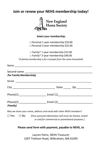### **Join or renew your NEHS membership today!**



**Select your membership:**

□ Personal 1-year membership \$10.00 □ Personal 3-year membership \$25.00

□ Family\* 1-year membership \$15.00 □ Family\* 3-year membership \$40.00

*\*A family membership is for 2 people from the same household.*

|          |                                                                                                                                  | Second name ______________                                         |  |                             |  |
|----------|----------------------------------------------------------------------------------------------------------------------------------|--------------------------------------------------------------------|--|-----------------------------|--|
|          | (for Family Membership)                                                                                                          |                                                                    |  |                             |  |
|          |                                                                                                                                  |                                                                    |  |                             |  |
|          |                                                                                                                                  |                                                                    |  | State ______ Zip __________ |  |
|          |                                                                                                                                  |                                                                    |  |                             |  |
| (Family) |                                                                                                                                  |                                                                    |  |                             |  |
|          |                                                                                                                                  | May we share your name, address and email with other NEHS members? |  |                             |  |
|          | $\Box$ Yes $\Box$ No (Your personal information will never be shared, rented<br>or sold for commercial or promotional purposes.) |                                                                    |  |                             |  |
|          |                                                                                                                                  | Please send form with payment, payable to NEHS, to                 |  |                             |  |

Lauren Patric, NEHS Treasurer 1007 Tinkham Road, Wilbraham, MA 01095